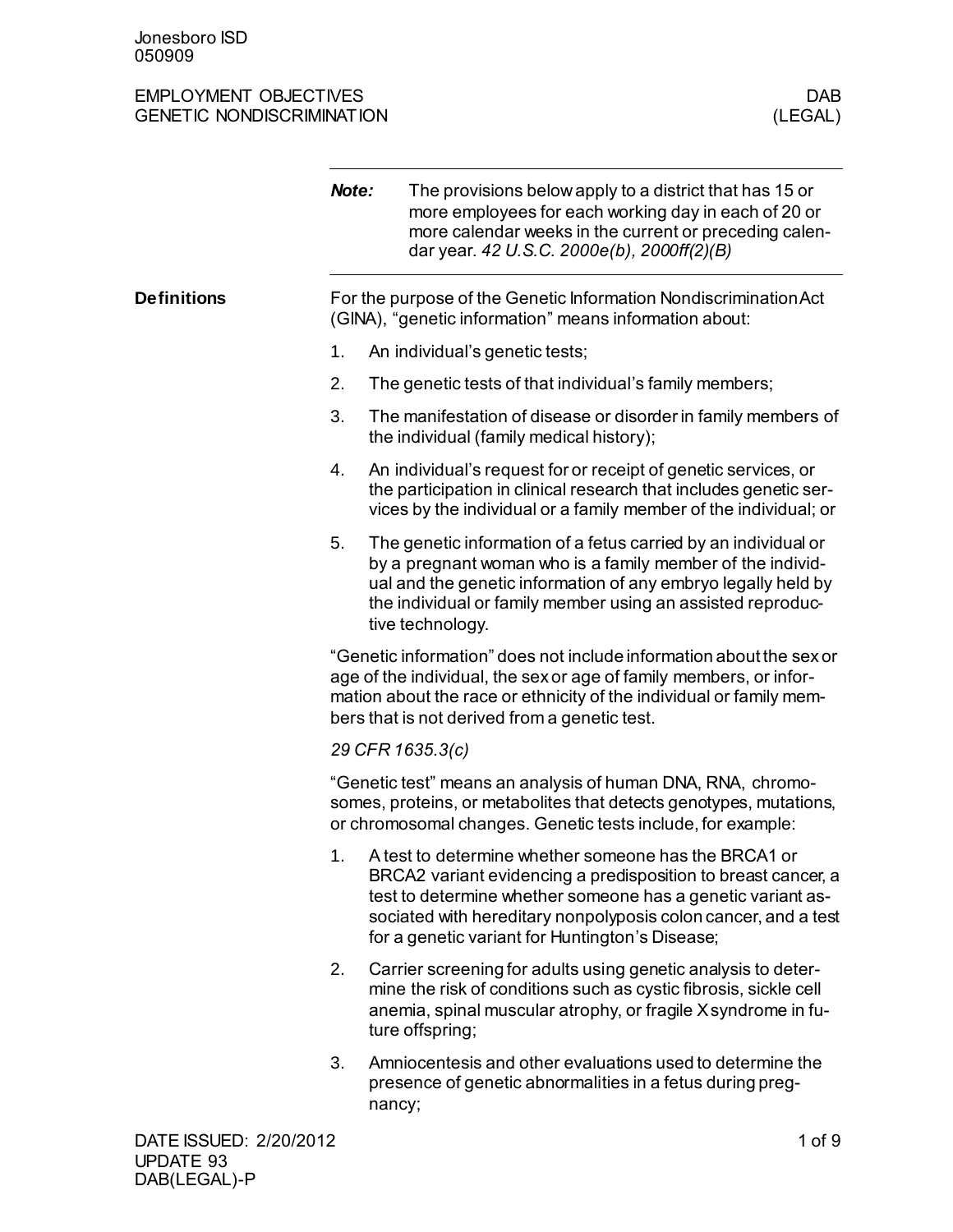|                        | Note: | The provisions below apply to a district that has 15 or<br>more employees for each working day in each of 20 or<br>more calendar weeks in the current or preceding calen-<br>dar year. 42 U.S.C. 2000e(b), 2000ff(2)(B)                                                                                   |
|------------------------|-------|-----------------------------------------------------------------------------------------------------------------------------------------------------------------------------------------------------------------------------------------------------------------------------------------------------------|
| <b>Definitions</b>     |       | For the purpose of the Genetic Information Nondiscrimination Act<br>(GINA), "genetic information" means information about:                                                                                                                                                                                |
|                        | 1.    | An individual's genetic tests;                                                                                                                                                                                                                                                                            |
|                        | 2.    | The genetic tests of that individual's family members;                                                                                                                                                                                                                                                    |
|                        | 3.    | The manifestation of disease or disorder in family members of<br>the individual (family medical history);                                                                                                                                                                                                 |
|                        | 4.    | An individual's request for or receipt of genetic services, or<br>the participation in clinical research that includes genetic ser-<br>vices by the individual or a family member of the individual; or                                                                                                   |
|                        | 5.    | The genetic information of a fetus carried by an individual or<br>by a pregnant woman who is a family member of the individ-<br>ual and the genetic information of any embryo legally held by<br>the individual or family member using an assisted reproduc-<br>tive technology.                          |
|                        |       | "Genetic information" does not include information about the sex or<br>age of the individual, the sex or age of family members, or infor-<br>mation about the race or ethnicity of the individual or family mem-<br>bers that is not derived from a genetic test.                                         |
|                        |       | 29 CFR 1635.3(c)                                                                                                                                                                                                                                                                                          |
|                        |       | "Genetic test" means an analysis of human DNA, RNA, chromo-<br>somes, proteins, or metabolites that detects genotypes, mutations,<br>or chromosomal changes. Genetic tests include, for example:                                                                                                          |
|                        | 1.    | A test to determine whether someone has the BRCA1 or<br>BRCA2 variant evidencing a predisposition to breast cancer, a<br>test to determine whether someone has a genetic variant as-<br>sociated with hereditary nonpolyposis colon cancer, and a test<br>for a genetic variant for Huntington's Disease; |
|                        | 2.    | Carrier screening for adults using genetic analysis to deter-<br>mine the risk of conditions such as cystic fibrosis, sickle cell<br>anemia, spinal muscular atrophy, or fragile X syndrome in fu-<br>ture offspring;                                                                                     |
|                        | 3.    | Amniocentesis and other evaluations used to determine the<br>presence of genetic abnormalities in a fetus during preg-<br>nancy;                                                                                                                                                                          |
| DATE ISSUED: 2/20/2012 |       | $1$ of $9$                                                                                                                                                                                                                                                                                                |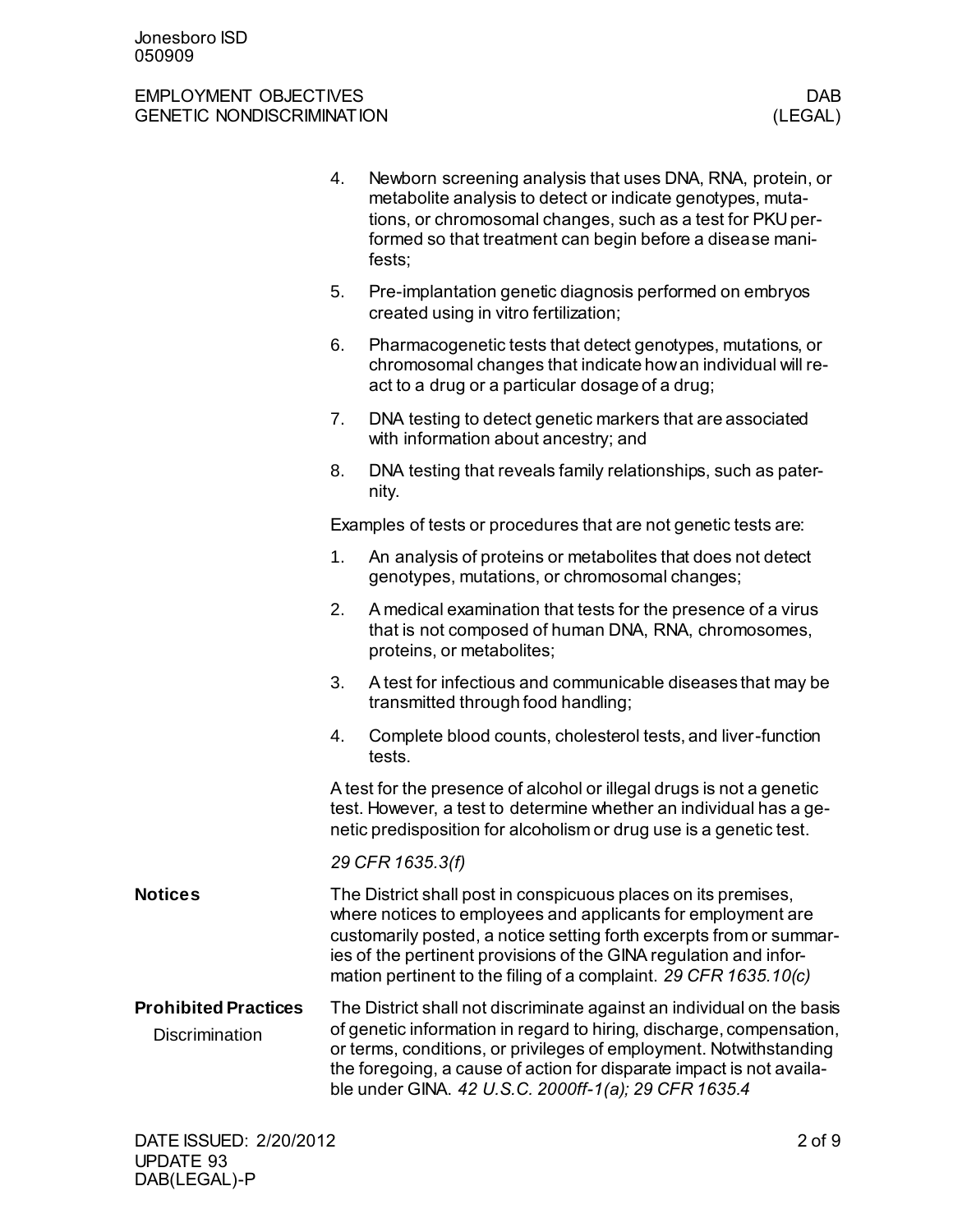|                                                      | 4.                                                                                                                                                                                                                                                                                                                                             | Newborn screening analysis that uses DNA, RNA, protein, or<br>metabolite analysis to detect or indicate genotypes, muta-<br>tions, or chromosomal changes, such as a test for PKU per-<br>formed so that treatment can begin before a disease mani-<br>fests;                                                                                        |  |
|------------------------------------------------------|------------------------------------------------------------------------------------------------------------------------------------------------------------------------------------------------------------------------------------------------------------------------------------------------------------------------------------------------|------------------------------------------------------------------------------------------------------------------------------------------------------------------------------------------------------------------------------------------------------------------------------------------------------------------------------------------------------|--|
|                                                      | 5.                                                                                                                                                                                                                                                                                                                                             | Pre-implantation genetic diagnosis performed on embryos<br>created using in vitro fertilization;                                                                                                                                                                                                                                                     |  |
|                                                      | 6.                                                                                                                                                                                                                                                                                                                                             | Pharmacogenetic tests that detect genotypes, mutations, or<br>chromosomal changes that indicate how an individual will re-<br>act to a drug or a particular dosage of a drug;                                                                                                                                                                        |  |
|                                                      | 7.                                                                                                                                                                                                                                                                                                                                             | DNA testing to detect genetic markers that are associated<br>with information about ancestry; and                                                                                                                                                                                                                                                    |  |
|                                                      | 8.                                                                                                                                                                                                                                                                                                                                             | DNA testing that reveals family relationships, such as pater-<br>nity.                                                                                                                                                                                                                                                                               |  |
|                                                      |                                                                                                                                                                                                                                                                                                                                                | Examples of tests or procedures that are not genetic tests are:                                                                                                                                                                                                                                                                                      |  |
|                                                      | 1.                                                                                                                                                                                                                                                                                                                                             | An analysis of proteins or metabolites that does not detect<br>genotypes, mutations, or chromosomal changes;                                                                                                                                                                                                                                         |  |
|                                                      | 2.                                                                                                                                                                                                                                                                                                                                             | A medical examination that tests for the presence of a virus<br>that is not composed of human DNA, RNA, chromosomes,<br>proteins, or metabolites;                                                                                                                                                                                                    |  |
|                                                      | 3.                                                                                                                                                                                                                                                                                                                                             | A test for infectious and communicable diseases that may be<br>transmitted through food handling;                                                                                                                                                                                                                                                    |  |
|                                                      | 4.                                                                                                                                                                                                                                                                                                                                             | Complete blood counts, cholesterol tests, and liver-function<br>tests.                                                                                                                                                                                                                                                                               |  |
|                                                      | A test for the presence of alcohol or illegal drugs is not a genetic<br>test. However, a test to determine whether an individual has a ge-<br>netic predisposition for alcoholism or drug use is a genetic test.                                                                                                                               |                                                                                                                                                                                                                                                                                                                                                      |  |
|                                                      | 29 CFR 1635.3(f)                                                                                                                                                                                                                                                                                                                               |                                                                                                                                                                                                                                                                                                                                                      |  |
| <b>Notices</b>                                       | The District shall post in conspicuous places on its premises,<br>where notices to employees and applicants for employment are<br>customarily posted, a notice setting forth excerpts from or summar-<br>ies of the pertinent provisions of the GINA regulation and infor-<br>mation pertinent to the filing of a complaint. 29 CFR 1635.10(c) |                                                                                                                                                                                                                                                                                                                                                      |  |
| <b>Prohibited Practices</b><br><b>Discrimination</b> |                                                                                                                                                                                                                                                                                                                                                | The District shall not discriminate against an individual on the basis<br>of genetic information in regard to hiring, discharge, compensation,<br>or terms, conditions, or privileges of employment. Notwithstanding<br>the foregoing, a cause of action for disparate impact is not availa-<br>ble under GINA. 42 U.S.C. 2000ff-1(a); 29 CFR 1635.4 |  |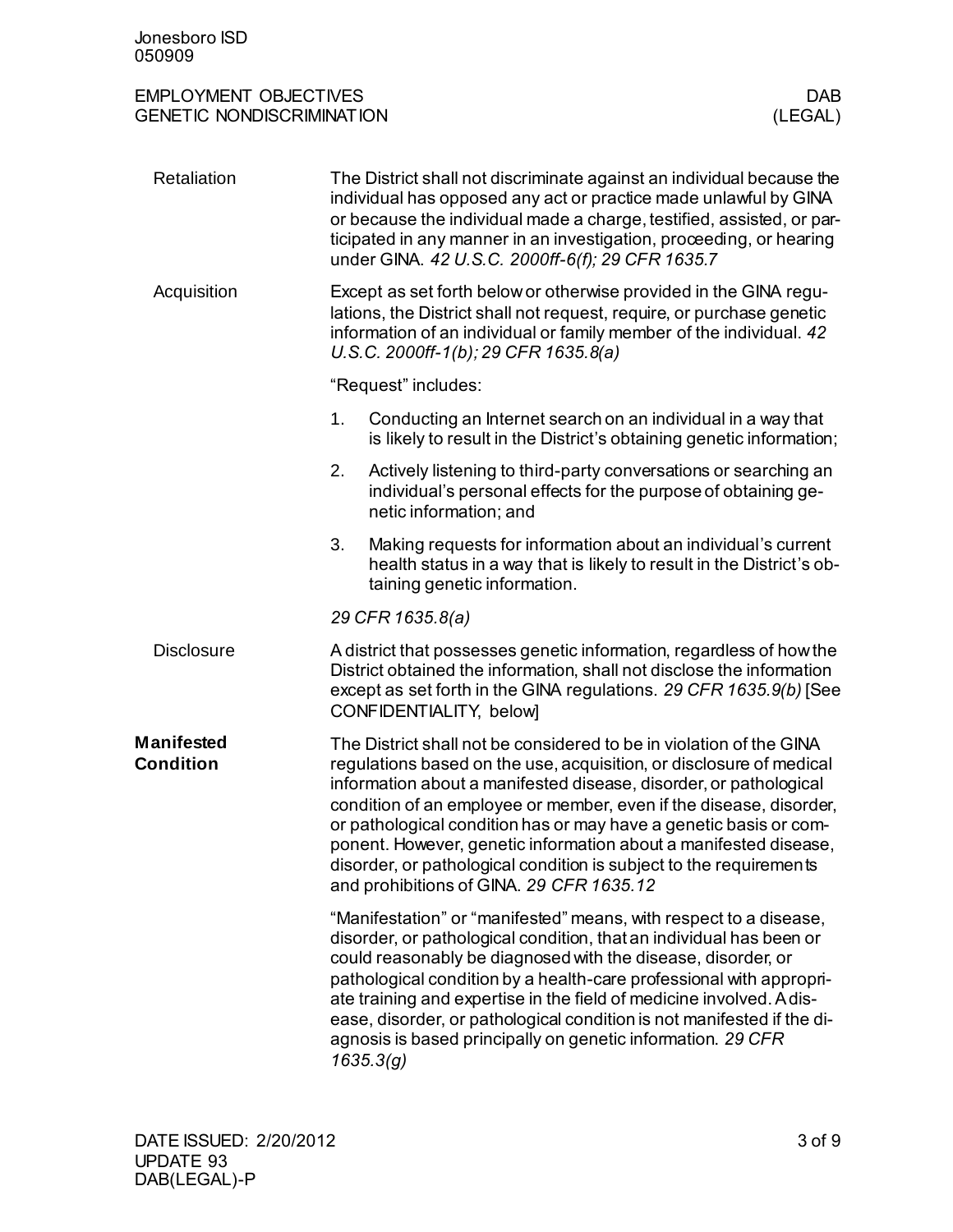| <b>EMPLOYMENT OBJECTIVES</b>     | <b>DAB</b> |
|----------------------------------|------------|
| <b>GENETIC NONDISCRIMINATION</b> | (LEGAL,    |

| Retaliation                           | The District shall not discriminate against an individual because the<br>individual has opposed any act or practice made unlawful by GINA<br>or because the individual made a charge, testified, assisted, or par-<br>ticipated in any manner in an investigation, proceeding, or hearing<br>under GINA. 42 U.S.C. 2000ff-6(f); 29 CFR 1635.7                                                                                                                                                                                                    |  |  |
|---------------------------------------|--------------------------------------------------------------------------------------------------------------------------------------------------------------------------------------------------------------------------------------------------------------------------------------------------------------------------------------------------------------------------------------------------------------------------------------------------------------------------------------------------------------------------------------------------|--|--|
| Acquisition                           | Except as set forth below or otherwise provided in the GINA regu-<br>lations, the District shall not request, require, or purchase genetic<br>information of an individual or family member of the individual. 42<br>$U.S.C. 2000ff-1(b)$ ; 29 CFR 1635.8(a)                                                                                                                                                                                                                                                                                     |  |  |
|                                       | "Request" includes:                                                                                                                                                                                                                                                                                                                                                                                                                                                                                                                              |  |  |
|                                       | 1.<br>Conducting an Internet search on an individual in a way that<br>is likely to result in the District's obtaining genetic information;                                                                                                                                                                                                                                                                                                                                                                                                       |  |  |
|                                       | Actively listening to third-party conversations or searching an<br>2.<br>individual's personal effects for the purpose of obtaining ge-<br>netic information; and                                                                                                                                                                                                                                                                                                                                                                                |  |  |
|                                       | 3.<br>Making requests for information about an individual's current<br>health status in a way that is likely to result in the District's ob-<br>taining genetic information.                                                                                                                                                                                                                                                                                                                                                                     |  |  |
|                                       | 29 CFR 1635.8(a)                                                                                                                                                                                                                                                                                                                                                                                                                                                                                                                                 |  |  |
| <b>Disclosure</b>                     | A district that possesses genetic information, regardless of how the<br>District obtained the information, shall not disclose the information<br>except as set forth in the GINA regulations. 29 CFR 1635.9(b) [See<br>CONFIDENTIALITY, below]                                                                                                                                                                                                                                                                                                   |  |  |
| <b>Manifested</b><br><b>Condition</b> | The District shall not be considered to be in violation of the GINA<br>regulations based on the use, acquisition, or disclosure of medical<br>information about a manifested disease, disorder, or pathological<br>condition of an employee or member, even if the disease, disorder,<br>or pathological condition has or may have a genetic basis or com-<br>ponent. However, genetic information about a manifested disease,<br>disorder, or pathological condition is subject to the requirements<br>and prohibitions of GINA. 29 CFR 1635.12 |  |  |
|                                       | "Manifestation" or "manifested" means, with respect to a disease,<br>disorder, or pathological condition, that an individual has been or<br>could reasonably be diagnosed with the disease, disorder, or<br>pathological condition by a health-care professional with appropri-<br>ate training and expertise in the field of medicine involved. A dis-<br>ease, disorder, or pathological condition is not manifested if the di-<br>agnosis is based principally on genetic information. 29 CFR<br>1635.3(g)                                    |  |  |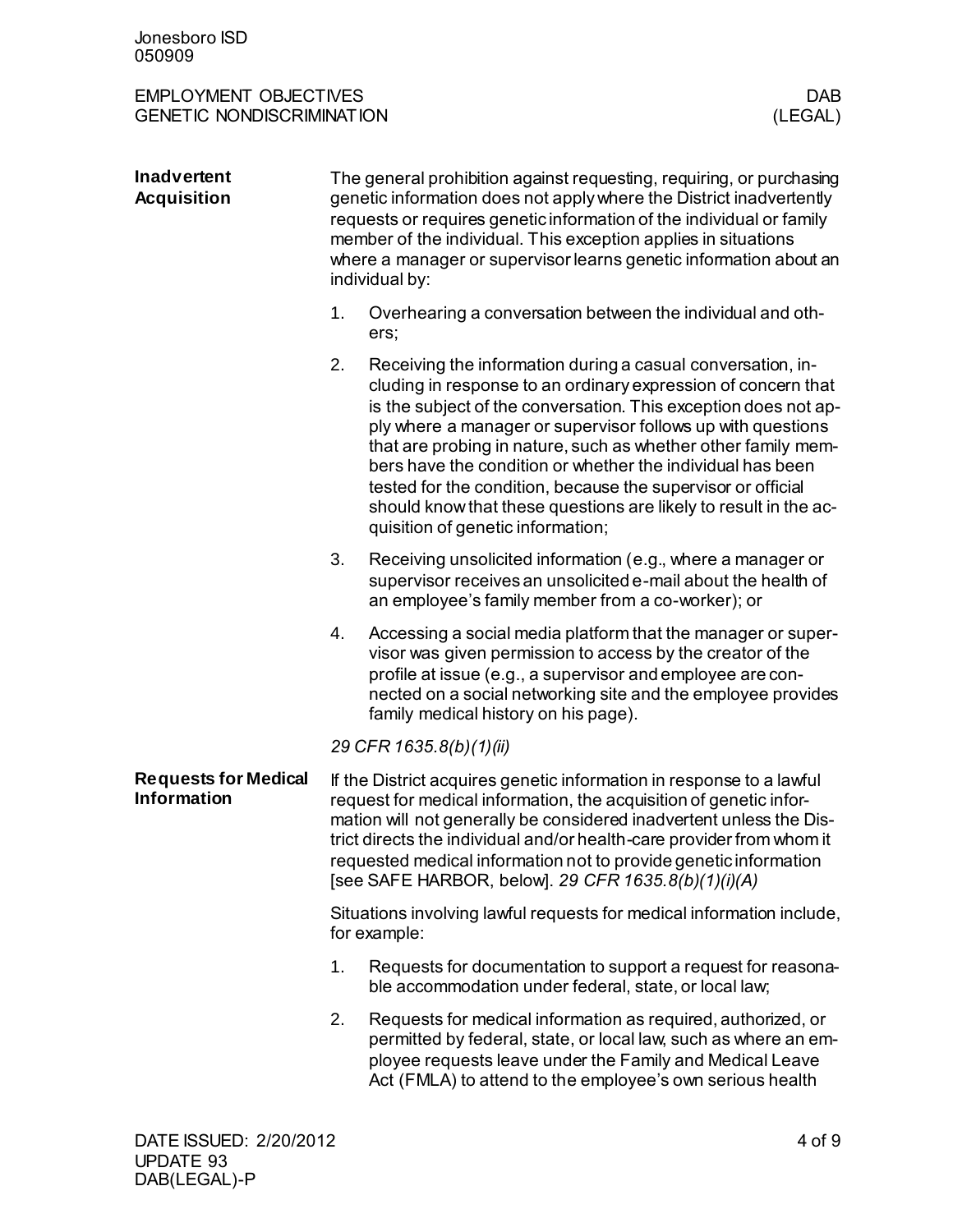| <b>Inadvertent</b><br><b>Acquisition</b>          | The general prohibition against requesting, requiring, or purchasing<br>genetic information does not apply where the District inadvertently<br>requests or requires genetic information of the individual or family<br>member of the individual. This exception applies in situations<br>where a manager or supervisor learns genetic information about an<br>individual by:                                          |                                                                                                                                                                                                                                                                                                                                                                                                                                                                                                                                                                        |  |
|---------------------------------------------------|-----------------------------------------------------------------------------------------------------------------------------------------------------------------------------------------------------------------------------------------------------------------------------------------------------------------------------------------------------------------------------------------------------------------------|------------------------------------------------------------------------------------------------------------------------------------------------------------------------------------------------------------------------------------------------------------------------------------------------------------------------------------------------------------------------------------------------------------------------------------------------------------------------------------------------------------------------------------------------------------------------|--|
|                                                   | 1.                                                                                                                                                                                                                                                                                                                                                                                                                    | Overhearing a conversation between the individual and oth-<br>ers;                                                                                                                                                                                                                                                                                                                                                                                                                                                                                                     |  |
|                                                   | 2.                                                                                                                                                                                                                                                                                                                                                                                                                    | Receiving the information during a casual conversation, in-<br>cluding in response to an ordinary expression of concern that<br>is the subject of the conversation. This exception does not ap-<br>ply where a manager or supervisor follows up with questions<br>that are probing in nature, such as whether other family mem-<br>bers have the condition or whether the individual has been<br>tested for the condition, because the supervisor or official<br>should know that these questions are likely to result in the ac-<br>quisition of genetic information; |  |
|                                                   | 3.                                                                                                                                                                                                                                                                                                                                                                                                                    | Receiving unsolicited information (e.g., where a manager or<br>supervisor receives an unsolicited e-mail about the health of<br>an employee's family member from a co-worker); or                                                                                                                                                                                                                                                                                                                                                                                      |  |
|                                                   | 4.                                                                                                                                                                                                                                                                                                                                                                                                                    | Accessing a social media platform that the manager or super-<br>visor was given permission to access by the creator of the<br>profile at issue (e.g., a supervisor and employee are con-<br>nected on a social networking site and the employee provides<br>family medical history on his page).                                                                                                                                                                                                                                                                       |  |
|                                                   | 29 CFR 1635.8(b)(1)(ii)                                                                                                                                                                                                                                                                                                                                                                                               |                                                                                                                                                                                                                                                                                                                                                                                                                                                                                                                                                                        |  |
| <b>Requests for Medical</b><br><b>Information</b> | If the District acquires genetic information in response to a lawful<br>request for medical information, the acquisition of genetic infor-<br>mation will not generally be considered inadvertent unless the Dis-<br>trict directs the individual and/or health-care provider from whom it<br>requested medical information not to provide genetic information<br>[see SAFE HARBOR, below]. 29 CFR 1635.8(b)(1)(i)(A) |                                                                                                                                                                                                                                                                                                                                                                                                                                                                                                                                                                        |  |
|                                                   | Situations involving lawful requests for medical information include,<br>for example:                                                                                                                                                                                                                                                                                                                                 |                                                                                                                                                                                                                                                                                                                                                                                                                                                                                                                                                                        |  |
|                                                   | 1.                                                                                                                                                                                                                                                                                                                                                                                                                    | Requests for documentation to support a request for reasona-<br>ble accommodation under federal, state, or local law;                                                                                                                                                                                                                                                                                                                                                                                                                                                  |  |
|                                                   | 2.                                                                                                                                                                                                                                                                                                                                                                                                                    | Requests for medical information as required, authorized, or<br>permitted by federal, state, or local law, such as where an em-<br>ployee requests leave under the Family and Medical Leave<br>Act (FMLA) to attend to the employee's own serious health                                                                                                                                                                                                                                                                                                               |  |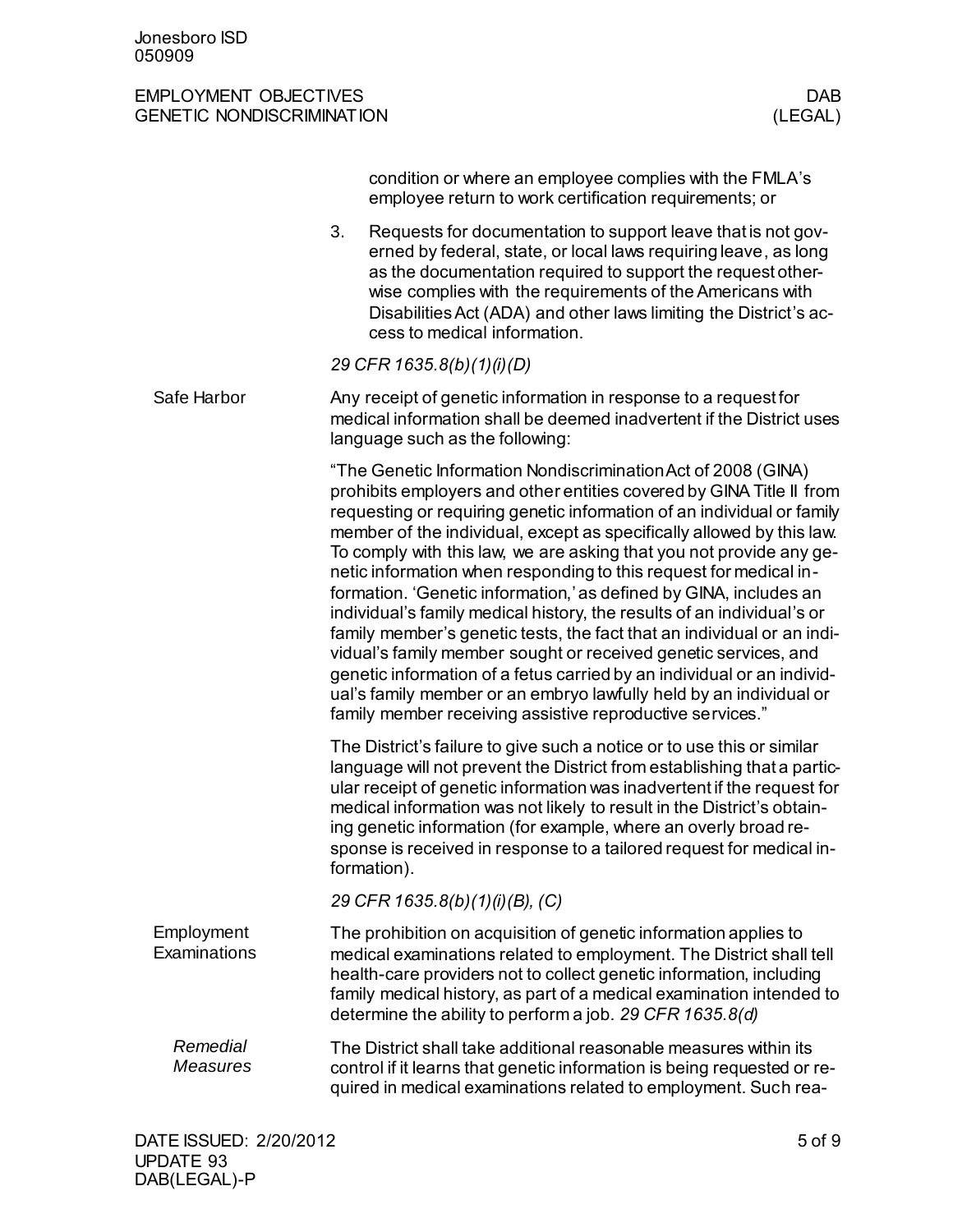|                             | condition or where an employee complies with the FMLA's<br>employee return to work certification requirements; or                                                                                                                                                                                                                                                                                                                                                                                                                                                                                                                                                                                                                                                                                                                                                                                                                             |
|-----------------------------|-----------------------------------------------------------------------------------------------------------------------------------------------------------------------------------------------------------------------------------------------------------------------------------------------------------------------------------------------------------------------------------------------------------------------------------------------------------------------------------------------------------------------------------------------------------------------------------------------------------------------------------------------------------------------------------------------------------------------------------------------------------------------------------------------------------------------------------------------------------------------------------------------------------------------------------------------|
|                             | 3.<br>Requests for documentation to support leave that is not gov-<br>erned by federal, state, or local laws requiring leave, as long<br>as the documentation required to support the request other-<br>wise complies with the requirements of the Americans with<br>Disabilities Act (ADA) and other laws limiting the District's ac-<br>cess to medical information.                                                                                                                                                                                                                                                                                                                                                                                                                                                                                                                                                                        |
|                             | 29 CFR 1635.8(b)(1)(i)(D)                                                                                                                                                                                                                                                                                                                                                                                                                                                                                                                                                                                                                                                                                                                                                                                                                                                                                                                     |
| Safe Harbor                 | Any receipt of genetic information in response to a request for<br>medical information shall be deemed inadvertent if the District uses<br>language such as the following:                                                                                                                                                                                                                                                                                                                                                                                                                                                                                                                                                                                                                                                                                                                                                                    |
|                             | "The Genetic Information Nondiscrimination Act of 2008 (GINA)<br>prohibits employers and other entities covered by GINA Title II from<br>requesting or requiring genetic information of an individual or family<br>member of the individual, except as specifically allowed by this law.<br>To comply with this law, we are asking that you not provide any ge-<br>netic information when responding to this request for medical in-<br>formation. 'Genetic information,' as defined by GINA, includes an<br>individual's family medical history, the results of an individual's or<br>family member's genetic tests, the fact that an individual or an indi-<br>vidual's family member sought or received genetic services, and<br>genetic information of a fetus carried by an individual or an individ-<br>ual's family member or an embryo lawfully held by an individual or<br>family member receiving assistive reproductive services." |
|                             | The District's failure to give such a notice or to use this or similar<br>language will not prevent the District from establishing that a partic-<br>ular receipt of genetic information was inadvertent if the request for<br>medical information was not likely to result in the District's obtain-<br>ing genetic information (for example, where an overly broad re-<br>sponse is received in response to a tailored request for medical in-<br>formation).                                                                                                                                                                                                                                                                                                                                                                                                                                                                               |
|                             | 29 CFR 1635.8(b)(1)(i)(B), (C)                                                                                                                                                                                                                                                                                                                                                                                                                                                                                                                                                                                                                                                                                                                                                                                                                                                                                                                |
| Employment<br>Examinations  | The prohibition on acquisition of genetic information applies to<br>medical examinations related to employment. The District shall tell<br>health-care providers not to collect genetic information, including<br>family medical history, as part of a medical examination intended to<br>determine the ability to perform a job. 29 CFR 1635.8(d)                                                                                                                                                                                                                                                                                                                                                                                                                                                                                                                                                                                            |
| Remedial<br><b>Measures</b> | The District shall take additional reasonable measures within its<br>control if it learns that genetic information is being requested or re-<br>quired in medical examinations related to employment. Such rea-                                                                                                                                                                                                                                                                                                                                                                                                                                                                                                                                                                                                                                                                                                                               |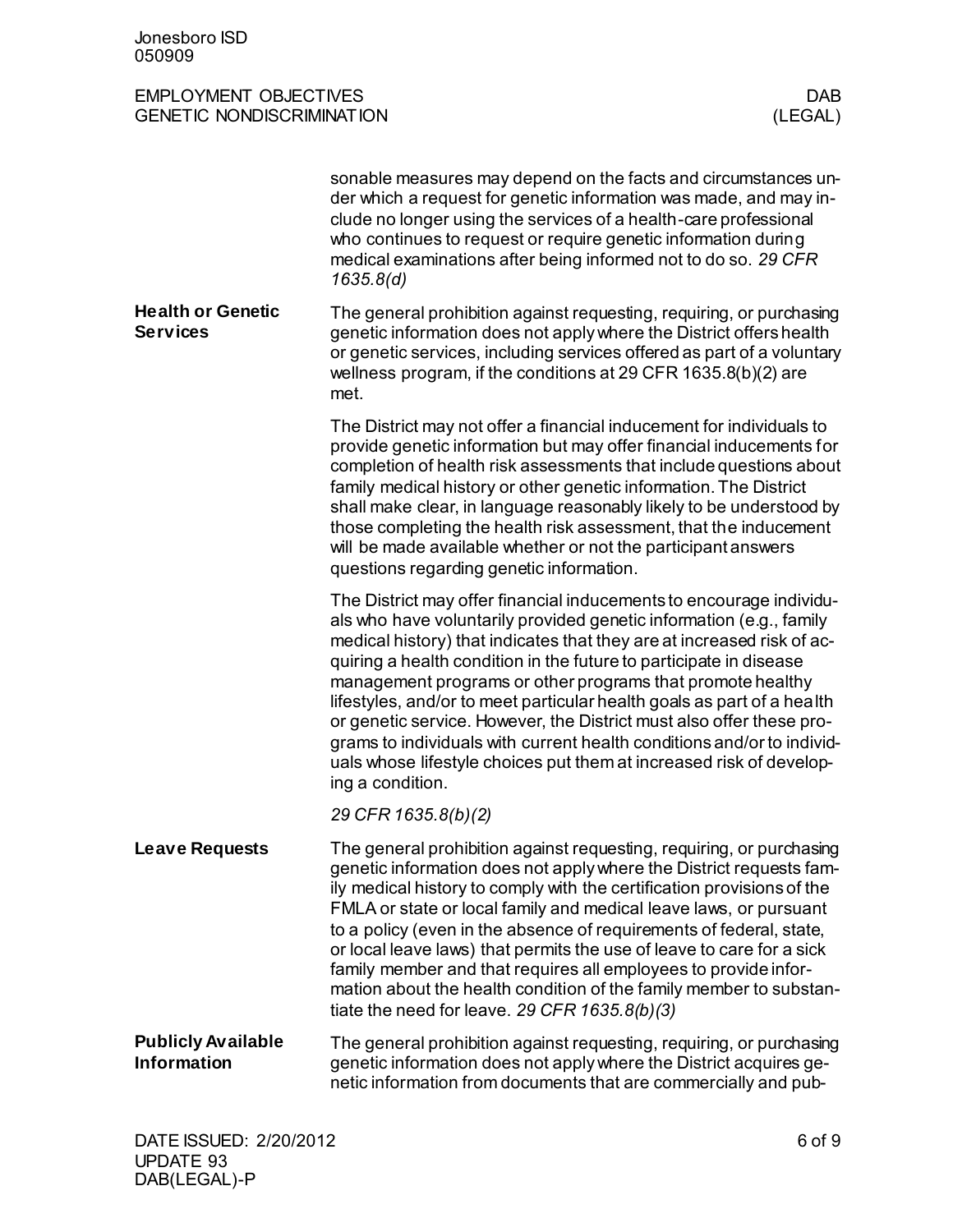|                                                 | sonable measures may depend on the facts and circumstances un-<br>der which a request for genetic information was made, and may in-<br>clude no longer using the services of a health-care professional<br>who continues to request or require genetic information during<br>medical examinations after being informed not to do so. 29 CFR<br>1635.8(d)                                                                                                                                                                                                                                                                                                                        |
|-------------------------------------------------|---------------------------------------------------------------------------------------------------------------------------------------------------------------------------------------------------------------------------------------------------------------------------------------------------------------------------------------------------------------------------------------------------------------------------------------------------------------------------------------------------------------------------------------------------------------------------------------------------------------------------------------------------------------------------------|
| <b>Health or Genetic</b><br><b>Services</b>     | The general prohibition against requesting, requiring, or purchasing<br>genetic information does not apply where the District offers health<br>or genetic services, including services offered as part of a voluntary<br>wellness program, if the conditions at 29 CFR 1635.8(b)(2) are<br>met.                                                                                                                                                                                                                                                                                                                                                                                 |
|                                                 | The District may not offer a financial inducement for individuals to<br>provide genetic information but may offer financial inducements for<br>completion of health risk assessments that include questions about<br>family medical history or other genetic information. The District<br>shall make clear, in language reasonably likely to be understood by<br>those completing the health risk assessment, that the inducement<br>will be made available whether or not the participant answers<br>questions regarding genetic information.                                                                                                                                  |
|                                                 | The District may offer financial inducements to encourage individu-<br>als who have voluntarily provided genetic information (e.g., family<br>medical history) that indicates that they are at increased risk of ac-<br>quiring a health condition in the future to participate in disease<br>management programs or other programs that promote healthy<br>lifestyles, and/or to meet particular health goals as part of a health<br>or genetic service. However, the District must also offer these pro-<br>grams to individuals with current health conditions and/or to individ-<br>uals whose lifestyle choices put them at increased risk of develop-<br>ing a condition. |
|                                                 | 29 CFR 1635.8(b)(2)                                                                                                                                                                                                                                                                                                                                                                                                                                                                                                                                                                                                                                                             |
| <b>Leave Requests</b>                           | The general prohibition against requesting, requiring, or purchasing<br>genetic information does not apply where the District requests fam-<br>ily medical history to comply with the certification provisions of the<br>FMLA or state or local family and medical leave laws, or pursuant<br>to a policy (even in the absence of requirements of federal, state,<br>or local leave laws) that permits the use of leave to care for a sick<br>family member and that requires all employees to provide infor-<br>mation about the health condition of the family member to substan-<br>tiate the need for leave. 29 CFR $1635.8(b)(3)$                                          |
| <b>Publicly Available</b><br><b>Information</b> | The general prohibition against requesting, requiring, or purchasing<br>genetic information does not apply where the District acquires ge-<br>netic information from documents that are commercially and pub-                                                                                                                                                                                                                                                                                                                                                                                                                                                                   |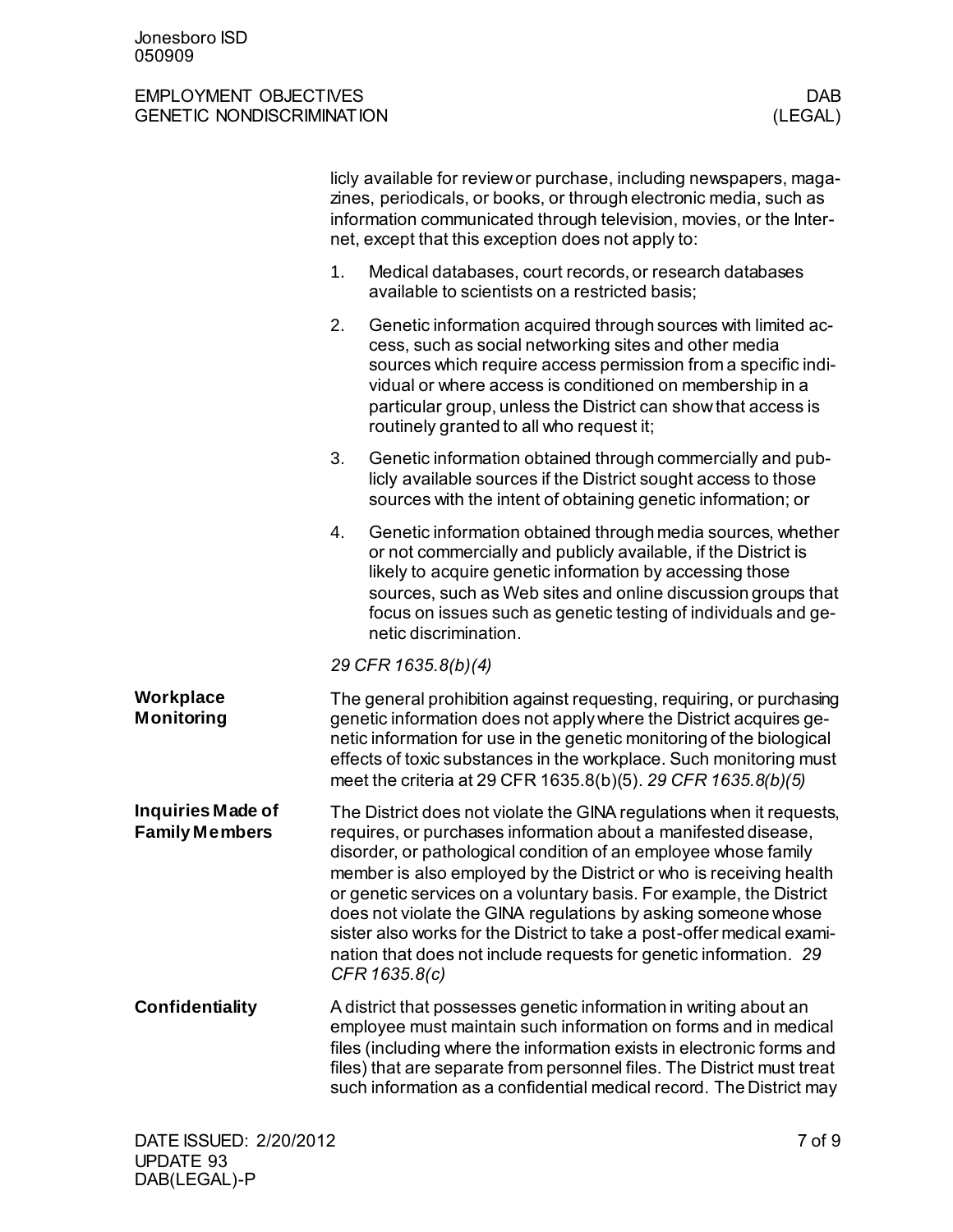|                                            | licly available for review or purchase, including newspapers, maga-<br>zines, periodicals, or books, or through electronic media, such as<br>information communicated through television, movies, or the Inter-<br>net, except that this exception does not apply to: |                                                                                                                                                                                                                                                                                                                                                                                                                                                                                                                                                                                         |  |
|--------------------------------------------|-----------------------------------------------------------------------------------------------------------------------------------------------------------------------------------------------------------------------------------------------------------------------|-----------------------------------------------------------------------------------------------------------------------------------------------------------------------------------------------------------------------------------------------------------------------------------------------------------------------------------------------------------------------------------------------------------------------------------------------------------------------------------------------------------------------------------------------------------------------------------------|--|
|                                            | 1.                                                                                                                                                                                                                                                                    | Medical databases, court records, or research databases<br>available to scientists on a restricted basis;                                                                                                                                                                                                                                                                                                                                                                                                                                                                               |  |
|                                            | 2.                                                                                                                                                                                                                                                                    | Genetic information acquired through sources with limited ac-<br>cess, such as social networking sites and other media<br>sources which require access permission from a specific indi-<br>vidual or where access is conditioned on membership in a<br>particular group, unless the District can show that access is<br>routinely granted to all who request it;                                                                                                                                                                                                                        |  |
|                                            | 3.                                                                                                                                                                                                                                                                    | Genetic information obtained through commercially and pub-<br>licly available sources if the District sought access to those<br>sources with the intent of obtaining genetic information; or                                                                                                                                                                                                                                                                                                                                                                                            |  |
|                                            | 4.                                                                                                                                                                                                                                                                    | Genetic information obtained through media sources, whether<br>or not commercially and publicly available, if the District is<br>likely to acquire genetic information by accessing those<br>sources, such as Web sites and online discussion groups that<br>focus on issues such as genetic testing of individuals and ge-<br>netic discrimination.                                                                                                                                                                                                                                    |  |
|                                            |                                                                                                                                                                                                                                                                       | 29 CFR 1635.8(b)(4)                                                                                                                                                                                                                                                                                                                                                                                                                                                                                                                                                                     |  |
| Workplace<br>Monitoring                    |                                                                                                                                                                                                                                                                       | The general prohibition against requesting, requiring, or purchasing<br>genetic information does not apply where the District acquires ge-<br>netic information for use in the genetic monitoring of the biological<br>effects of toxic substances in the workplace. Such monitoring must<br>meet the criteria at 29 CFR 1635.8(b)(5). 29 CFR 1635.8(b)(5)                                                                                                                                                                                                                              |  |
| Inquiries Made of<br><b>Family Members</b> |                                                                                                                                                                                                                                                                       | The District does not violate the GINA regulations when it requests,<br>requires, or purchases information about a manifested disease,<br>disorder, or pathological condition of an employee whose family<br>member is also employed by the District or who is receiving health<br>or genetic services on a voluntary basis. For example, the District<br>does not violate the GINA regulations by asking someone whose<br>sister also works for the District to take a post-offer medical exami-<br>nation that does not include requests for genetic information. 29<br>CFR 1635.8(c) |  |
| <b>Confidentiality</b>                     |                                                                                                                                                                                                                                                                       | A district that possesses genetic information in writing about an<br>employee must maintain such information on forms and in medical<br>files (including where the information exists in electronic forms and<br>files) that are separate from personnel files. The District must treat<br>such information as a confidential medical record. The District may                                                                                                                                                                                                                          |  |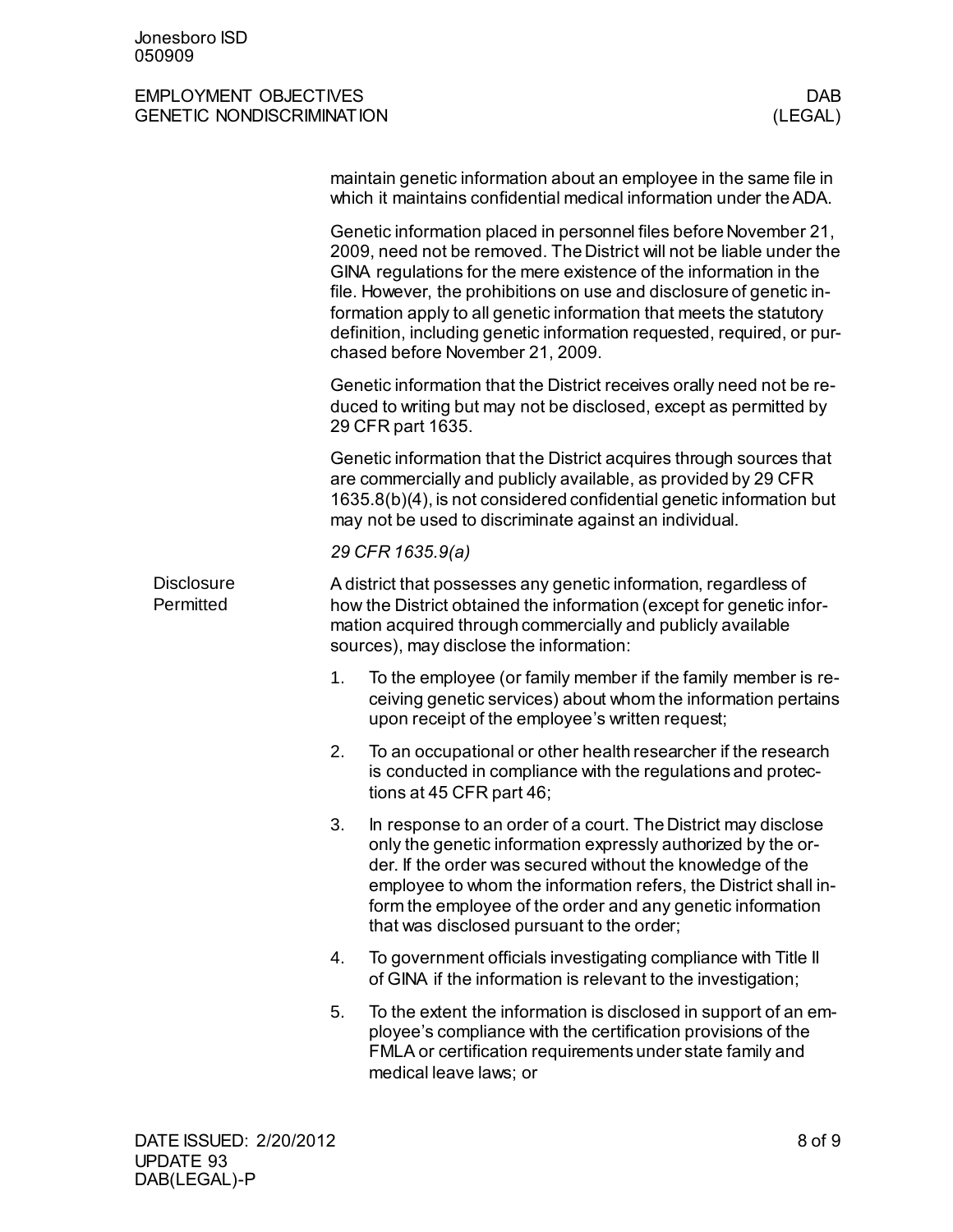|                                |                                                                                                                                                                                                                                                                                                                                                                                                                                                                             | maintain genetic information about an employee in the same file in<br>which it maintains confidential medical information under the ADA.                                                                                                                                                                                                                                  |  |  |
|--------------------------------|-----------------------------------------------------------------------------------------------------------------------------------------------------------------------------------------------------------------------------------------------------------------------------------------------------------------------------------------------------------------------------------------------------------------------------------------------------------------------------|---------------------------------------------------------------------------------------------------------------------------------------------------------------------------------------------------------------------------------------------------------------------------------------------------------------------------------------------------------------------------|--|--|
|                                | Genetic information placed in personnel files before November 21,<br>2009, need not be removed. The District will not be liable under the<br>GINA regulations for the mere existence of the information in the<br>file. However, the prohibitions on use and disclosure of genetic in-<br>formation apply to all genetic information that meets the statutory<br>definition, including genetic information requested, required, or pur-<br>chased before November 21, 2009. |                                                                                                                                                                                                                                                                                                                                                                           |  |  |
|                                | Genetic information that the District receives orally need not be re-<br>duced to writing but may not be disclosed, except as permitted by<br>29 CFR part 1635.                                                                                                                                                                                                                                                                                                             |                                                                                                                                                                                                                                                                                                                                                                           |  |  |
|                                | Genetic information that the District acquires through sources that<br>are commercially and publicly available, as provided by 29 CFR<br>1635.8(b)(4), is not considered confidential genetic information but<br>may not be used to discriminate against an individual.                                                                                                                                                                                                     |                                                                                                                                                                                                                                                                                                                                                                           |  |  |
|                                |                                                                                                                                                                                                                                                                                                                                                                                                                                                                             | 29 CFR 1635.9(a)                                                                                                                                                                                                                                                                                                                                                          |  |  |
| <b>Disclosure</b><br>Permitted | A district that possesses any genetic information, regardless of<br>how the District obtained the information (except for genetic infor-<br>mation acquired through commercially and publicly available<br>sources), may disclose the information:                                                                                                                                                                                                                          |                                                                                                                                                                                                                                                                                                                                                                           |  |  |
|                                | 1.                                                                                                                                                                                                                                                                                                                                                                                                                                                                          | To the employee (or family member if the family member is re-<br>ceiving genetic services) about whom the information pertains<br>upon receipt of the employee's written request;                                                                                                                                                                                         |  |  |
|                                | 2.                                                                                                                                                                                                                                                                                                                                                                                                                                                                          | To an occupational or other health researcher if the research<br>is conducted in compliance with the regulations and protec-<br>tions at 45 CFR part 46;                                                                                                                                                                                                                  |  |  |
|                                | 3.                                                                                                                                                                                                                                                                                                                                                                                                                                                                          | In response to an order of a court. The District may disclose<br>only the genetic information expressly authorized by the or-<br>der. If the order was secured without the knowledge of the<br>employee to whom the information refers, the District shall in-<br>form the employee of the order and any genetic information<br>that was disclosed pursuant to the order; |  |  |
|                                | 4.                                                                                                                                                                                                                                                                                                                                                                                                                                                                          | To government officials investigating compliance with Title II<br>of GINA if the information is relevant to the investigation;                                                                                                                                                                                                                                            |  |  |
|                                | 5.                                                                                                                                                                                                                                                                                                                                                                                                                                                                          | To the extent the information is disclosed in support of an em-<br>ployee's compliance with the certification provisions of the<br>FMLA or certification requirements under state family and<br>medical leave laws; or                                                                                                                                                    |  |  |